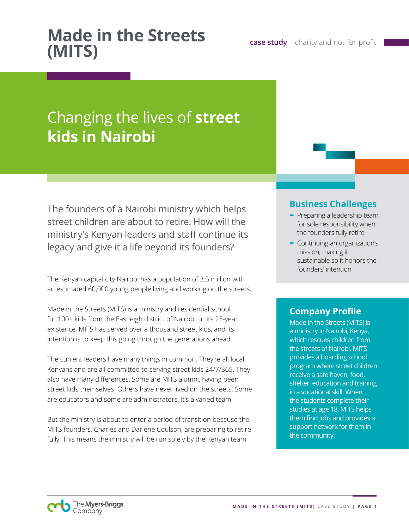# **Made in the Streets**

# Changing the lives of **street kids in Nairobi**

The founders of a Nairobi ministry which helps street children are about to retire. How will the ministry's Kenyan leaders and staff continue its legacy and give it a life beyond its founders?

The Kenyan capital city Nairobi has a population of 3.5 million with an estimated 60,000 young people living and working on the streets.

Made in the Streets (MITS) is a ministry and residential school for 100+ kids from the Eastleigh district of Nairobi. In its 25-year existence, MITS has served over a thousand street kids, and its intention is to keep this going through the generations ahead.

The current leaders have many things in common. They're all local Kenyans and are all committed to serving street kids 24/7/365. They also have many differences. Some are MITS alumni, having been street kids themselves. Others have never lived on the streets. Some are educators and some are administrators. It's a varied team.

But the ministry is about to enter a period of transition because the MITS founders, Charles and Darlene Coulson, are preparing to retire fully. This means the ministry will be run solely by the Kenyan team.

#### **Business Challenges**

**case study** | charity and not-for-profit

- **-** Preparing a leadership team for sole responsibility when the founders fully retire
- **-** Continuing an organization's mission, making it sustainable so it honors the founders' intention

### **Company Profile**

Made in the Streets (MITS) is a ministry in Nairobi, Kenya, which rescues children from the streets of Nairobi. MITS provides a boarding school program where street children receive a safe haven, food, shelter, education and training in a vocational skill. When the students complete their studies at age 18, MITS helps them find jobs and provides a support network for them in the community.

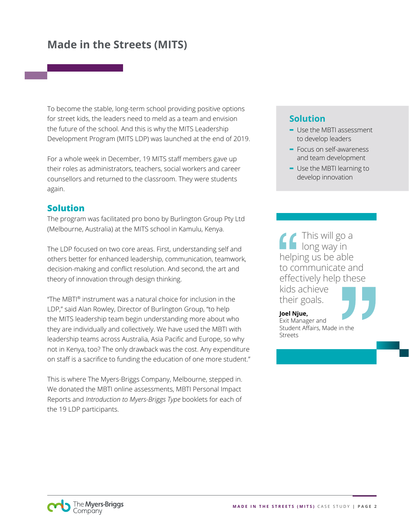To become the stable, long-term school providing positive options for street kids, the leaders need to meld as a team and envision the future of the school. And this is why the MITS Leadership Development Program (MITS LDP) was launched at the end of 2019.

For a whole week in December, 19 MITS staff members gave up their roles as administrators, teachers, social workers and career counsellors and returned to the classroom. They were students again.

#### **Solution**

The program was facilitated pro bono by Burlington Group Pty Ltd (Melbourne, Australia) at the MITS school in Kamulu, Kenya.

The LDP focused on two core areas. First, understanding self and others better for enhanced leadership, communication, teamwork, decision-making and conflict resolution. And second, the art and theory of innovation through design thinking.

"The MBTI® instrument was a natural choice for inclusion in the LDP," said Alan Rowley, Director of Burlington Group, "to help the MITS leadership team begin understanding more about who they are individually and collectively. We have used the MBTI with leadership teams across Australia, Asia Pacific and Europe, so why not in Kenya, too? The only drawback was the cost. Any expenditure on staff is a sacrifice to funding the education of one more student."

This is where The Myers-Briggs Company, Melbourne, stepped in. We donated the MBTI online assessments, MBTI Personal Impact Reports and *Introduction to Myers-Briggs Type* booklets for each of the 19 LDP participants.

#### **Solution**

- **-** Use the MBTI assessment to develop leaders
- **-** Focus on self-awareness and team development
- **-** Use the MBTI learning to develop innovation

This will go a long way in helping us be able to communicate and effectively help these kids achieve their goals.



**Joel Njue,** Exit Manager and Student Affairs, Made in the Streets

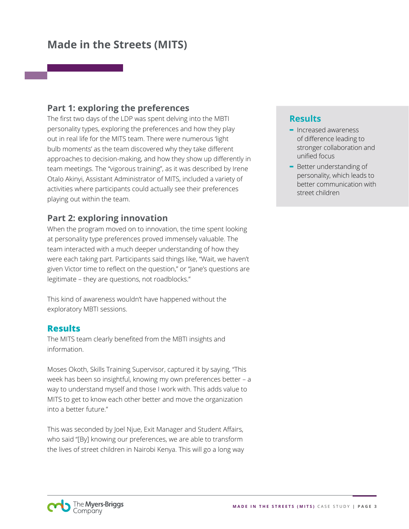#### **Part 1: exploring the preferences**

The first two days of the LDP was spent delving into the MBTI personality types, exploring the preferences and how they play out in real life for the MITS team. There were numerous 'light bulb moments' as the team discovered why they take different approaches to decision-making, and how they show up differently in team meetings. The "vigorous training", as it was described by Irene Otalo Akinyi, Assistant Administrator of MITS, included a variety of activities where participants could actually see their preferences playing out within the team.

#### **Part 2: exploring innovation**

When the program moved on to innovation, the time spent looking at personality type preferences proved immensely valuable. The team interacted with a much deeper understanding of how they were each taking part. Participants said things like, "Wait, we haven't given Victor time to reflect on the question," or "Jane's questions are legitimate – they are questions, not roadblocks."

This kind of awareness wouldn't have happened without the exploratory MBTI sessions.

#### **Results**

The MITS team clearly benefited from the MBTI insights and information.

Moses Okoth, Skills Training Supervisor, captured it by saying, "This week has been so insightful, knowing my own preferences better – a way to understand myself and those I work with. This adds value to MITS to get to know each other better and move the organization into a better future."

This was seconded by Joel Njue, Exit Manager and Student Affairs, who said "[By] knowing our preferences, we are able to transform the lives of street children in Nairobi Kenya. This will go a long way

#### **Results**

- **-** Increased awareness of difference leading to stronger collaboration and unified focus
- **-** Better understanding of personality, which leads to better communication with street children

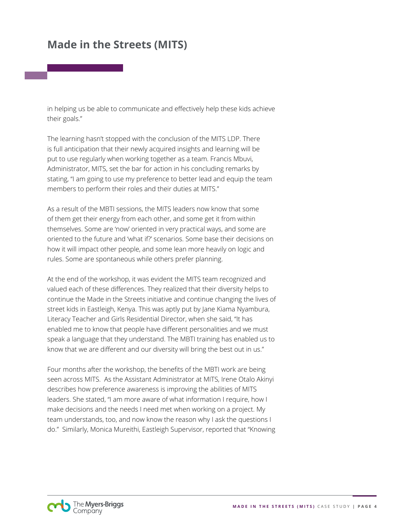in helping us be able to communicate and effectively help these kids achieve their goals."

The learning hasn't stopped with the conclusion of the MITS LDP. There is full anticipation that their newly acquired insights and learning will be put to use regularly when working together as a team. Francis Mbuvi, Administrator, MITS, set the bar for action in his concluding remarks by stating, "I am going to use my preference to better lead and equip the team members to perform their roles and their duties at MITS."

As a result of the MBTI sessions, the MITS leaders now know that some of them get their energy from each other, and some get it from within themselves. Some are 'now' oriented in very practical ways, and some are oriented to the future and 'what if?' scenarios. Some base their decisions on how it will impact other people, and some lean more heavily on logic and rules. Some are spontaneous while others prefer planning.

At the end of the workshop, it was evident the MITS team recognized and valued each of these differences. They realized that their diversity helps to continue the Made in the Streets initiative and continue changing the lives of street kids in Eastleigh, Kenya. This was aptly put by Jane Kiama Nyambura, Literacy Teacher and Girls Residential Director, when she said, "It has enabled me to know that people have different personalities and we must speak a language that they understand. The MBTI training has enabled us to know that we are different and our diversity will bring the best out in us."

Four months after the workshop, the benefits of the MBTI work are being seen across MITS. As the Assistant Administrator at MITS, Irene Otalo Akinyi describes how preference awareness is improving the abilities of MITS leaders. She stated, "I am more aware of what information I require, how I make decisions and the needs I need met when working on a project. My team understands, too, and now know the reason why I ask the questions I do." Similarly, Monica Mureithi, Eastleigh Supervisor, reported that "Knowing

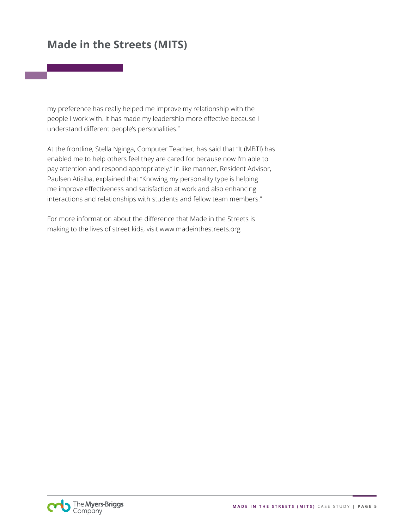my preference has really helped me improve my relationship with the people I work with. It has made my leadership more effective because I understand different people's personalities."

At the frontline, Stella Nginga, Computer Teacher, has said that "It (MBTI) has enabled me to help others feel they are cared for because now I'm able to pay attention and respond appropriately." In like manner, Resident Advisor, Paulsen Atisiba, explained that "Knowing my personality type is helping me improve effectiveness and satisfaction at work and also enhancing interactions and relationships with students and fellow team members."

For more information about the difference that Made in the Streets is making to the lives of street kids, visit www.madeinthestreets.org